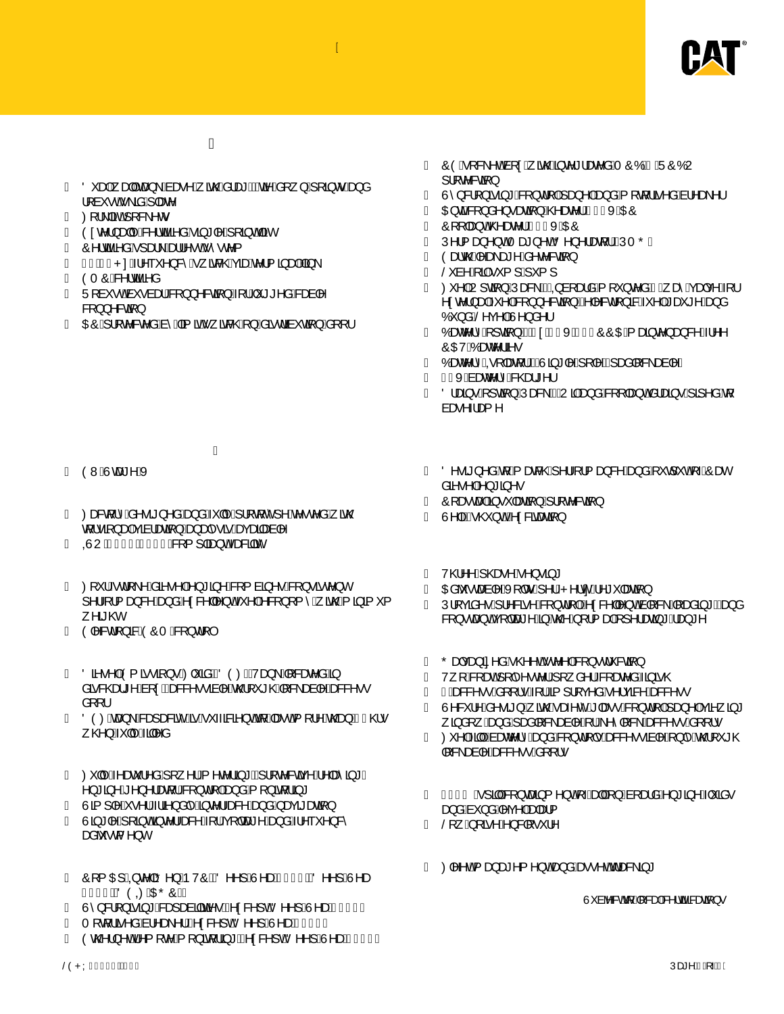

- $O^{\circ}$  and and hearth and  $\wedge$  and  $\wedge$  and  $\wedge$  and and  $\wedge$  and  $\wedge$  and  $\wedge$  and  $\wedge$  and  $\wedge$  and  $\wedge$  and  $\wedge$  and  $\wedge$  and  $\wedge$  and  $\wedge$  and  $\wedge$  and  $\wedge$  and  $\wedge$  and  $\wedge$  and  $\wedge$  and  $\wedge$  and  $\frac{1}{2}$  a  $\bullet$  o  $\bullet$  \aa $\circ$  and  $\circ$
- $\varnothing$   $\wedge$   $|\tilde{a}$ o  $\wedge$   $\wedge$   $\circ$
- $O$ ¢c^¦}æ|^Á&^¦cãã∂åÁiãª|^Áj[ãjoÁãc
- Ô^¦cããªåÁ]æl\Áæl¦^•cÁ^•c^{
- 1 € D € P: Á 1 ^ ~ ^ } & Á \_ ã& @ Á ã e ke^ ¦ { 3 a b Á 3 \
- ÒTÔÁ&^¦cãã^å
- $U$ [à  $\bullet$  o/a  $\bullet$  à æ $\overline{AB}$  } } ^ & can }  $\overline{AY}$   $\uparrow$   $\star$   $\star$  ^  $\overset{\circ}{a}$  / & can  $\uparrow$ 8[} } ^ 8c [i }
- OEÔÁ, I c^& c^ åÁa^ÁaīãóÁ, ão& @Á, }Áaã dãa čan[}Áa [[|

- Á
- OWA Loze ^ AX
- Øæ&d[`Áå^•ã}^åÁæ}åÁ≍||^Áj¦d[c^]^Áe^•c^åÁ,ãm@ d[•ã]}æþÁçãà¦æcã}Áæ}æn}•ãéÆeçæã¦ænà|^
- QUUÁJ€€FKG€€€Á& { | |ãe}oÁæ&ããô
- ″Ø|\*¦Ëd|\^Ásã∙^|Á^}\*ã^Á&|{àã^∙Á&|}•ãc^}c  $\wedge$   $\pi$   $\omega$
- OI^&dI}&AOOTA&I}dII
- $O\left(\frac{1}{2} \cdot \frac{1}{2} \cdot \frac{1}{2} \cdot \frac{1}{2} \cdot \frac{1}{2} \cdot \frac{1}{2} \cdot \frac{1}{2} \cdot \frac{1}{2} \cdot \frac{1}{2} \cdot \frac{1}{2} \cdot \frac{1}{2} \cdot \frac{1}{2} \cdot \frac{1}{2} \cdot \frac{1}{2} \cdot \frac{1}{2} \cdot \frac{1}{2} \cdot \frac{1}{2} \cdot \frac{1}{2} \cdot \frac{1}{2} \cdot \frac{1}{2} \cdot \frac{1}{2} \cdot \frac{1}{2} \cdot \frac{1}{2} \cdot \frac{1}{2} \cdot \$ åã &@d\*^Áa[¢Ébæ&&^••ãa|^Ác@[\*\*@4[&\æà|^Ás&&^•• å[ [ ¦
- ÖÒØÁza}\ÁSaa}asSãčÁséÁ v ~aSa3}oÁq{Áæoó4{[¦^Ác@aa}ÁG}@• . @}Á-ĭ||^Áaj|^å
- ˝ Ø`||^Á^æč¦^åÁ| ^¦Á ^c^¦ã \*ĚÁ¦| c^&œã^Á^|æ^ã \*Ê ^} \* ã ^Đ^}^¦æt ¦Á&[}d[|Áæ}åÁ[}ãt ¦ã \*
- Ùã[]|^Á •^¦Ë¦ã^}å|^Á§ c^¦ -æ&^Áæ}åÁ,æçã\*æaã[}
- æåbĭ∙o{^}c
- ÔI{ŒIÁQR¢|ãO^}ÁÞVÔÊÁÖ^^]ÁÙ^æÁNHG€ÉÁÖ^^]ÁÙ^æ Ì Î GEÊÄÖÒOZAKAŐÔËI.
- Ù' } & [ } ã ã \* Á sa à a à ã ã à Á Q ¢ & ^ ] o (Ö ^ ^ ] Á ) ^ a a Á H G E D
- T [ d | ã ^ å Ás| ^ æ ^ | ÁQ ¢&^ ] of O^^] Á )^ æ Á HGED
- Ò co (2) ^ cÁ ^ { [ c ^ Á [ } at | a \* Á C c & ^ ] c(O ^ ^ ] A V as A HO ED
- ÔÒÁ [&\^œʿal[¢Á ão@Aje^\*¦æe^åÁTÔÓÆÁÜÔÓU  $|||$   $c \cdot 8c \cdot 4$
- Ù`}&|}ãã \*Á&|}d||Á æ}^|Áæ}åÁ| [dj a^åÁa¦^æ}^|
- O E cake { } a ^ } a ca } A @ a e ^ | A G HEXADO
- Ô [ |æ} o<sup>4</sup>@2 æ^¦ÁGHEXÁDÉO
- $(V \setminus \{a\} \land \{aT \geq a\} \land \{aT \land \{aT\} \land \{aT\} \land \{aT\} \land \{aT\} \land \emptyset$
- Òækc@Ánætæt^Áå^c^&cã}
- $\check{S}$  à^ $\check{A}$   $\check{a}$  $\check{A}$   $\check{A}$   $\check{A}$   $\check{A}$   $\check{A}$   $\check{A}$   $\check{A}$   $\check{A}$
- Ø^|ÁU]oã}ÁÚæ&\ÁEÁQ\à[ælåÁ{[`}c^åÁHË,æîÁçækç^Á{¦ ^¢c^¦}aak<sup>{</sup> ^|*k*\${}}^&a{}}Ek^|^&d{}a&k<sup>{</sup> ^|*k*`as \*^*k*aa}a Ó } åÁŠ^c^|Á)^} å^¦
- ″Óæc^¦^Ájqã}Á#GcAFGXÁJÍ€ÔÔŒÁ{æna}c^}æ}&^˦^^ OCEVÁDeaner a.
- $O(\frac{1}{2})$   $\frac{1}{2}$   $\frac{1}{2}$   $\frac{1}{2}$   $\frac{1}{2}$   $\frac{1}{2}$   $\frac{1}{2}$   $\frac{1}{2}$   $\frac{1}{2}$   $\frac{1}{2}$   $\frac{1}{2}$   $\frac{1}{2}$   $\frac{1}{2}$   $\frac{1}{2}$   $\frac{1}{2}$   $\frac{1}{2}$   $\frac{1}{2}$   $\frac{1}{2}$   $\frac{1}{2}$   $\frac{1}{2}$   $\frac{1}{2}$   $\frac{1}{2}$
- GIXAGraec<sup>1</sup> A& @d\* ^|
- ″ Ölænai∙Álda]}ÁÚæ&\ÁEÁUā,Áæ}åÁ&[[|æ}o4妿a3j∙Ájā]^åÁq{ àæ∿⊹æ{∧
- Ö^•ã}^åÁq{Á{æn&©Áj^¦-[¦{æ}&^Áæ}åÁ{`d`oÁ{⊶ÁÔæc åã∙^|Á∖} \* ã ^•
- Ô[ærcæ]Á§ `|æaã[}Á] ¦[c^&aã[}
- $U \setminus \mathcal{A} \mathbf{G} \oslash \mathbf{D} \mathbf{A}$ c&ã $\mathbf{a}$ ana)
- V@^^Ë@ee^Á^}•ã\*
- O Eabl cæàl^ÁXIlo∙Ël^¦ËP^¦c Á^\* `læaāl}
- Ú¦[çãå^●Á¦^&ã^Á&]}d[|ÉÁ\¢&^||^}cÁà|[&\Á||æåã¦\*ÉÁæ}å &[} • ca} o/qs[ | cae\* ^ Á§ Án@^ Á [ ¦ { aa|4[ ] ^ ¦ aan3} \* Á aa} \* ^
- Õætçæ}ã^åÁ@^oÁc^^|Á&[}•d`&cã[}
- V [Á&[ænÁ][|^^●c^¦Á[ â^¦É&[æn^åÁa}ão @
- ÎÁæ&&Y••Áå[[¦∙Á{¦Áã{]¦[ç^åÁ∙^¦çã&^Áæ&&^••
- $\hat{U}^{\wedge}\delta^{\cdots}\hat{A}^{\wedge}\bullet\tilde{a}$  }  $\acute{A}$   $\tilde{a}$ @ $\acute{A}$   $\tilde{a}$ e $\circ$   $\acute{A}$   $\tilde{a}$  }  $d$   $\tilde{A}$   $\tilde{a}$   $\tilde{a}$   $\tilde{a}$   $\tilde{a}$   $\tilde{a}$   $\tilde{a}$   $\tilde{a}$   $\tilde{a}$   $\tilde{a}$   $\tilde{a}$   $\tilde{a}$   $\tilde{a}$   $\tilde{$ , ãjå[¸ Áæ}åÁjæå|[&∖æà|^ÁjiÁ^^|[&∖Áæ&&^∙∙Áå[[¦∙
- Ø ^|Á aj|ÉÁsær^|^Áæ}åÁ&[}d[|•Áæ&&^••ãa|^Á}|^Áœ2[\*\*@ ||&\æà|^<del>Áæ&</del>&^••Áå[[¦•
- $FF\in \tilde{A}$   $\hat{A}$  ]  $\hat{a}$   $\hat{A}$   $\hat{a}$   $\hat{a}$   $\hat{b}$   $\hat{c}$   $\hat{c}$   $\hat{d}$   $\hat{b}$   $\hat{d}$   $\hat{b}$   $\hat{d}$   $\hat{b}$   $\hat{c}$   $\hat{b}$   $\hat{c}$   $\hat{d}$   $\hat{d}$   $\hat{d}$   $\hat{e}$   $\hat{d}$   $\hat{c}$   $\hat{d}$   $\hat{c}$   $\hat{d}$ æ)åÁàĭ}åÁ^ç^∣Áæ†æ}{
- $\Im$   $\hat{A}$   $\Im$   $\hat{A}$   $\hat{B}$   $\land$   $\hat{A}$   $\Im$   $\Im$   $\Im$   $\frac{1}{2}$
- ″Ø1^^oÁ{æ}æ\*^{^}o#æ}åÁæ∙^oÁdæ&\ã}\*

 $U^*$  à b  $8$  orig  $A$ [  $8$  a  $4$   $8$   $\cdots$   $6$   $3$   $3$   $\cdots$   $3$   $\cdots$   $3$   $\cdots$   $3$   $\cdots$   $3$   $\cdots$   $3$   $\cdots$   $3$   $\cdots$   $3$   $\cdots$   $3$   $\cdots$   $3$   $\cdots$   $3$   $\cdots$   $3$   $\cdots$   $3$   $\cdots$   $3$   $\cdots$   $3$   $\cdots$   $3$   $\cdots$   $3$   $\cdots$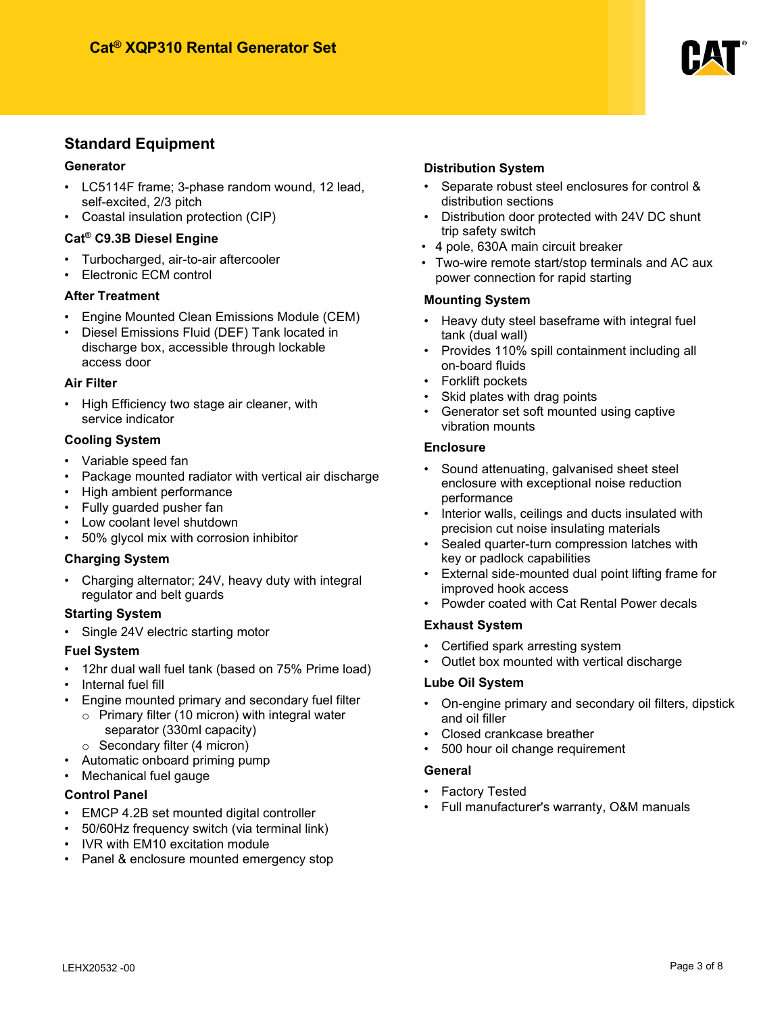

### **Standard Equipment**

#### **Generator**

- LC5114F frame; 3-phase random wound, 12 lead, self-excited, 2/3 pitch
- Coastal insulation protection (CIP)

#### **Cat® C9.3B Diesel Engine**

- Turbocharged, air-to-air aftercooler
- Electronic ECM control

#### **After Treatment**

- Engine Mounted Clean Emissions Module (CEM)
- Diesel Emissions Fluid (DEF) Tank located in discharge box, accessible through lockable access door

#### **Air Filter**

• High Efficiency two stage air cleaner, with service indicator

#### **Cooling System**

- Variable speed fan
- Package mounted radiator with vertical air discharge
- High ambient performance
- Fully guarded pusher fan
- Low coolant level shutdown
- 50% glycol mix with corrosion inhibitor

#### **Charging System**

• Charging alternator; 24V, heavy duty with integral regulator and belt guards

#### **Starting System**

Single 24V electric starting motor

#### **Fuel System**

- 12hr dual wall fuel tank (based on 75% Prime load)
- Internal fuel fill
- Engine mounted primary and secondary fuel filter
	- $\circ$  Primary filter (10 micron) with integral water separator (330ml capacity)
		- o Secondary filter (4 micron)
- Automatic onboard priming pump
- Mechanical fuel gauge

#### **Control Panel**

- EMCP 4.2B set mounted digital controller
- 50/60Hz frequency switch (via terminal link)
- IVR with EM10 excitation module
- Panel & enclosure mounted emergency stop

#### **Distribution System**

- Separate robust steel enclosures for control & distribution sections
- Distribution door protected with 24V DC shunt trip safety switch
- 4 pole, 630A main circuit breaker
- Two-wire remote start/stop terminals and AC aux power connection for rapid starting

#### **Mounting System**

- Heavy duty steel baseframe with integral fuel tank (dual wall)
- Provides 110% spill containment including all on-board fluids
- Forklift pockets
- Skid plates with drag points
- Generator set soft mounted using captive vibration mounts

#### **Enclosure**

- Sound attenuating, galvanised sheet steel enclosure with exceptional noise reduction performance
- Interior walls, ceilings and ducts insulated with precision cut noise insulating materials
- Sealed quarter-turn compression latches with key or padlock capabilities
- External side-mounted dual point lifting frame for improved hook access
- Powder coated with Cat Rental Power decals

#### **Exhaust System**

- Certified spark arresting system
- Outlet box mounted with vertical discharge

#### **Lube Oil System**

- On-engine primary and secondary oil filters, dipstick and oil filler
- Closed crankcase breather
- 500 hour oil change requirement

#### **General**

- **Factory Tested**
- Full manufacturer's warranty, O&M manuals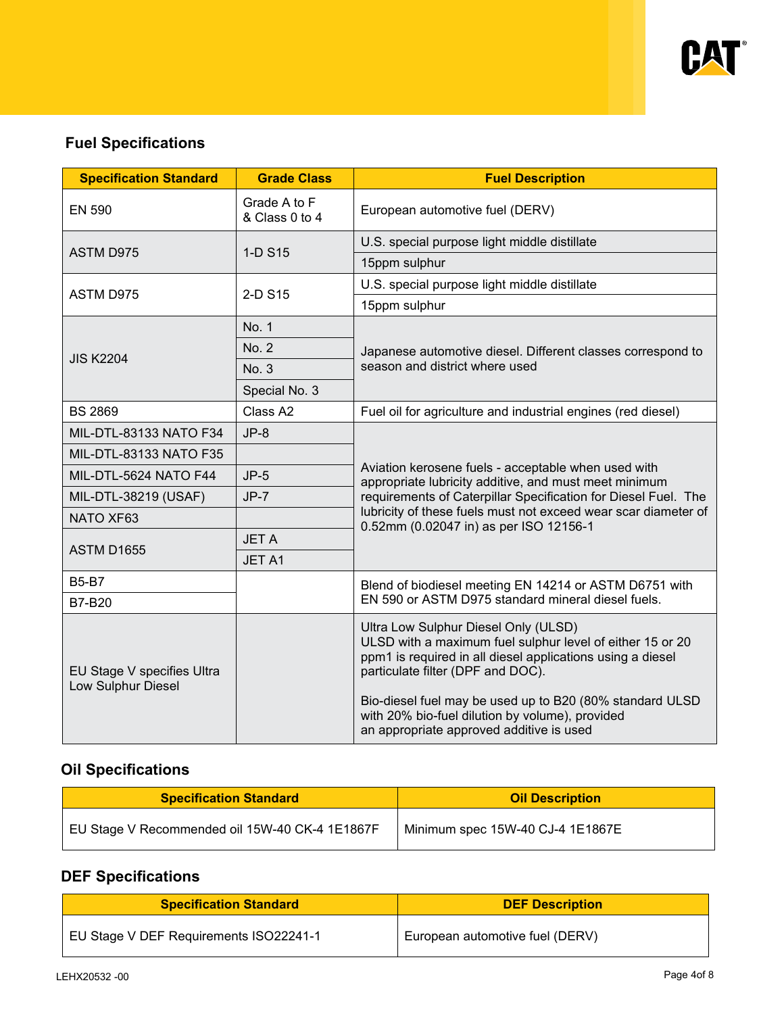

# **Fuel Specifications**

| <b>Specification Standard</b>                    | <b>Grade Class</b>             | <b>Fuel Description</b>                                                                                                                                                                                                                                                                                                                                         |  |
|--------------------------------------------------|--------------------------------|-----------------------------------------------------------------------------------------------------------------------------------------------------------------------------------------------------------------------------------------------------------------------------------------------------------------------------------------------------------------|--|
| <b>EN 590</b>                                    | Grade A to F<br>& Class 0 to 4 | European automotive fuel (DERV)                                                                                                                                                                                                                                                                                                                                 |  |
| <b>ASTM D975</b>                                 | 1-D S15                        | U.S. special purpose light middle distillate                                                                                                                                                                                                                                                                                                                    |  |
|                                                  |                                | 15ppm sulphur                                                                                                                                                                                                                                                                                                                                                   |  |
| ASTM D975                                        | 2-D S15                        | U.S. special purpose light middle distillate                                                                                                                                                                                                                                                                                                                    |  |
|                                                  |                                | 15ppm sulphur                                                                                                                                                                                                                                                                                                                                                   |  |
|                                                  | No. 1                          |                                                                                                                                                                                                                                                                                                                                                                 |  |
| <b>JIS K2204</b>                                 | No. 2                          | Japanese automotive diesel. Different classes correspond to                                                                                                                                                                                                                                                                                                     |  |
|                                                  | No. 3                          | season and district where used                                                                                                                                                                                                                                                                                                                                  |  |
|                                                  | Special No. 3                  |                                                                                                                                                                                                                                                                                                                                                                 |  |
| <b>BS 2869</b>                                   | Class A2                       | Fuel oil for agriculture and industrial engines (red diesel)                                                                                                                                                                                                                                                                                                    |  |
| MIL-DTL-83133 NATO F34                           | $JP-8$                         |                                                                                                                                                                                                                                                                                                                                                                 |  |
| MIL-DTL-83133 NATO F35                           |                                |                                                                                                                                                                                                                                                                                                                                                                 |  |
| MIL-DTL-5624 NATO F44                            | $JP-5$                         | Aviation kerosene fuels - acceptable when used with<br>appropriate lubricity additive, and must meet minimum                                                                                                                                                                                                                                                    |  |
| MIL-DTL-38219 (USAF)                             | $JP-7$                         | requirements of Caterpillar Specification for Diesel Fuel. The                                                                                                                                                                                                                                                                                                  |  |
| NATO XF63                                        |                                | lubricity of these fuels must not exceed wear scar diameter of<br>0.52mm (0.02047 in) as per ISO 12156-1                                                                                                                                                                                                                                                        |  |
|                                                  | <b>JETA</b>                    |                                                                                                                                                                                                                                                                                                                                                                 |  |
| <b>ASTM D1655</b>                                | JET A1                         |                                                                                                                                                                                                                                                                                                                                                                 |  |
| <b>B5-B7</b>                                     |                                | Blend of biodiesel meeting EN 14214 or ASTM D6751 with                                                                                                                                                                                                                                                                                                          |  |
| <b>B7-B20</b>                                    |                                | EN 590 or ASTM D975 standard mineral diesel fuels.                                                                                                                                                                                                                                                                                                              |  |
| EU Stage V specifies Ultra<br>Low Sulphur Diesel |                                | Ultra Low Sulphur Diesel Only (ULSD)<br>ULSD with a maximum fuel sulphur level of either 15 or 20<br>ppm1 is required in all diesel applications using a diesel<br>particulate filter (DPF and DOC).<br>Bio-diesel fuel may be used up to B20 (80% standard ULSD<br>with 20% bio-fuel dilution by volume), provided<br>an appropriate approved additive is used |  |

# **Oil Specifications**

| <b>Specification Standard</b>                  | <b>Oil Description</b>           |  |
|------------------------------------------------|----------------------------------|--|
| EU Stage V Recommended oil 15W-40 CK-4 1E1867F | Minimum spec 15W-40 CJ-4 1E1867E |  |

# **DEF Specifications**

| <b>Specification Standard</b>          | <b>DEF Description</b>          |  |
|----------------------------------------|---------------------------------|--|
| EU Stage V DEF Requirements ISO22241-1 | European automotive fuel (DERV) |  |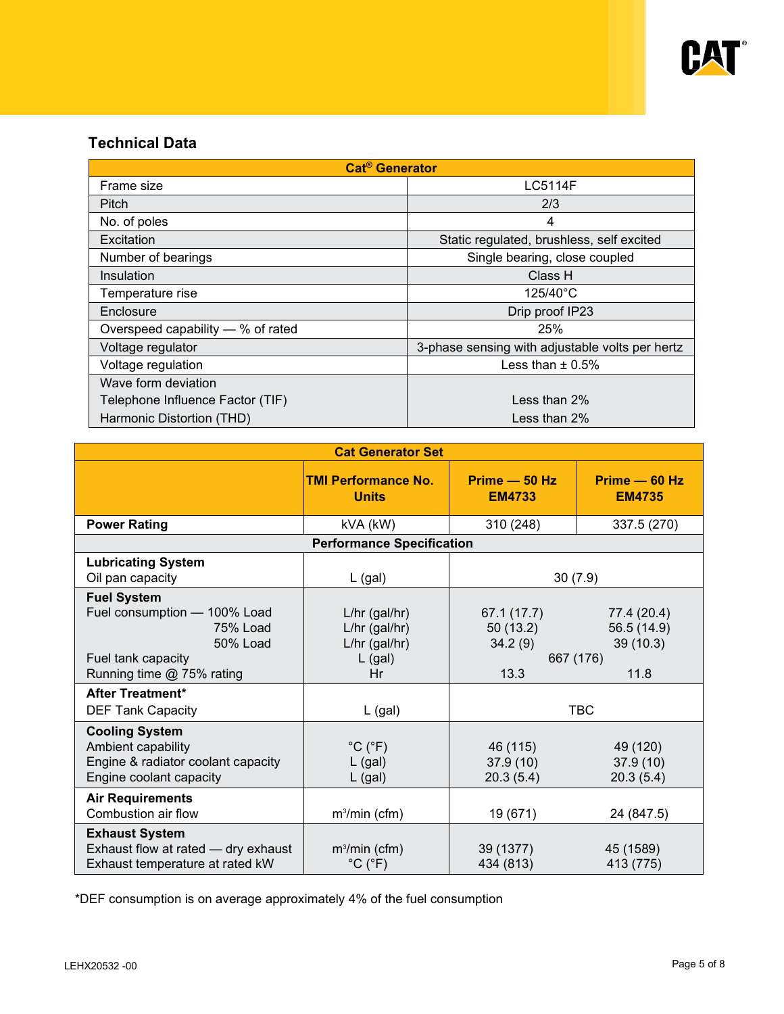

### **Technical Data**

| <b>Cat<sup>®</sup></b> Generator  |                                                 |  |  |  |
|-----------------------------------|-------------------------------------------------|--|--|--|
| Frame size                        | <b>LC5114F</b>                                  |  |  |  |
| Pitch                             | 2/3                                             |  |  |  |
| No. of poles                      | 4                                               |  |  |  |
| Excitation                        | Static regulated, brushless, self excited       |  |  |  |
| Number of bearings                | Single bearing, close coupled                   |  |  |  |
| Insulation                        | Class H                                         |  |  |  |
| Temperature rise                  | $125/40^{\circ}$ C                              |  |  |  |
| Enclosure                         | Drip proof IP23                                 |  |  |  |
| Overspeed capability — % of rated | 25%                                             |  |  |  |
| Voltage regulator                 | 3-phase sensing with adjustable volts per hertz |  |  |  |
| Voltage regulation                | Less than $\pm$ 0.5%                            |  |  |  |
| Wave form deviation               |                                                 |  |  |  |
| Telephone Influence Factor (TIF)  | Less than $2\%$                                 |  |  |  |
| Harmonic Distortion (THD)         | Less than $2\%$                                 |  |  |  |

| <b>Cat Generator Set</b>                                                                                                      |                                                                        |                                            |                                                             |  |
|-------------------------------------------------------------------------------------------------------------------------------|------------------------------------------------------------------------|--------------------------------------------|-------------------------------------------------------------|--|
|                                                                                                                               | <b>TMI Performance No.</b><br><b>Units</b>                             | $Prime - 50 Hz$<br><b>EM4733</b>           | Prime - 60 Hz<br><b>EM4735</b>                              |  |
| <b>Power Rating</b>                                                                                                           | kVA (kW)                                                               | 310 (248)                                  | 337.5 (270)                                                 |  |
|                                                                                                                               | <b>Performance Specification</b>                                       |                                            |                                                             |  |
| <b>Lubricating System</b><br>Oil pan capacity                                                                                 | $L$ (gal)                                                              | 30(7.9)                                    |                                                             |  |
| <b>Fuel System</b><br>Fuel consumption - 100% Load<br>75% Load<br>50% Load<br>Fuel tank capacity<br>Running time @ 75% rating | $L/hr$ (gal/hr)<br>L/hr (gal/hr)<br>$L/hr$ (gal/hr)<br>$L$ (gal)<br>Hr | 67.1 (17.7)<br>50(13.2)<br>34.2(9)<br>13.3 | 77.4 (20.4)<br>56.5 (14.9)<br>39(10.3)<br>667 (176)<br>11.8 |  |
| After Treatment*                                                                                                              |                                                                        |                                            |                                                             |  |
| <b>DEF Tank Capacity</b>                                                                                                      | $L$ (gal)                                                              | <b>TBC</b>                                 |                                                             |  |
| <b>Cooling System</b><br>Ambient capability<br>Engine & radiator coolant capacity<br>Engine coolant capacity                  | $^{\circ}C$ ( $^{\circ}F$ )<br>$L$ (gal)<br>$L$ (gal)                  | 46 (115)<br>37.9(10)<br>20.3(5.4)          | 49 (120)<br>37.9(10)<br>20.3(5.4)                           |  |
| <b>Air Requirements</b><br>Combustion air flow                                                                                | $m3/min$ (cfm)                                                         | 19 (671)                                   | 24 (847.5)                                                  |  |
| <b>Exhaust System</b><br>Exhaust flow at rated - dry exhaust<br>Exhaust temperature at rated kW                               | $m3/min$ (cfm)<br>$^{\circ}$ C ( $^{\circ}$ F)                         | 39 (1377)<br>434 (813)                     | 45 (1589)<br>413 (775)                                      |  |

\*DEF consumption is on average approximately 4% of the fuel consumption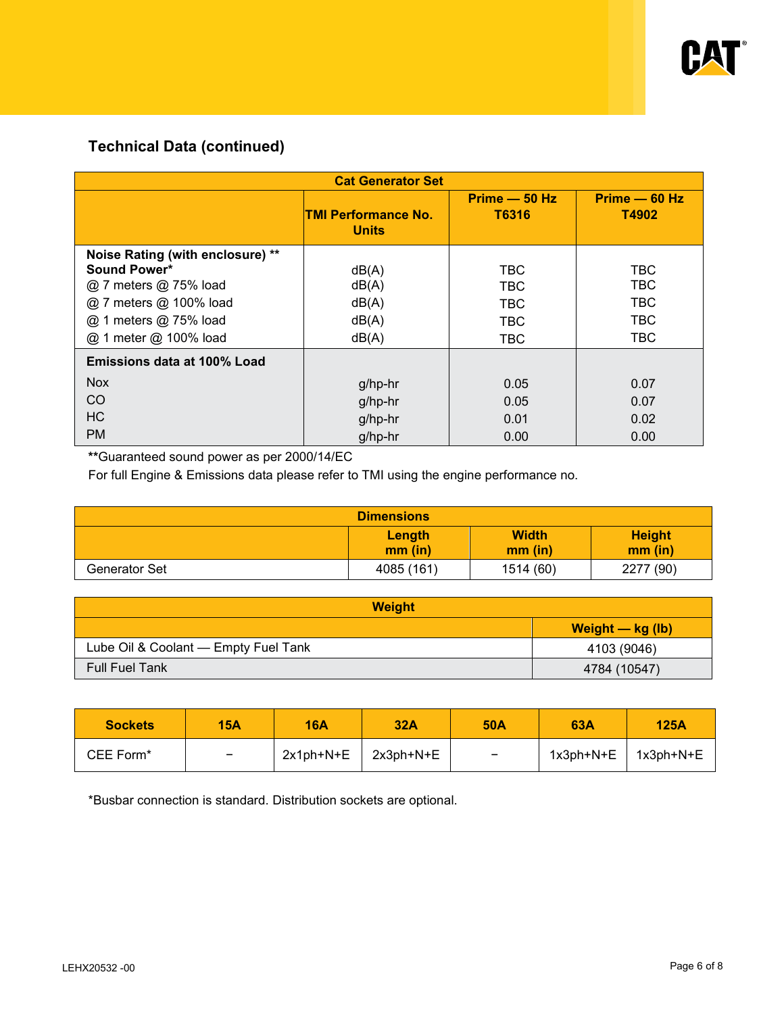

# **Technical Data (continued)**

| <b>Cat Generator Set</b>                                                                                                                              |                                            |                                                                    |                                        |  |
|-------------------------------------------------------------------------------------------------------------------------------------------------------|--------------------------------------------|--------------------------------------------------------------------|----------------------------------------|--|
|                                                                                                                                                       | <b>TMI Performance No.</b><br><b>Units</b> | $Prime - 50 Hz$<br>T6316                                           | $Prime - 60 Hz$<br>T4902               |  |
| Noise Rating (with enclosure) **<br>Sound Power*<br>@ 7 meters @ 75% load<br>@ 7 meters @ 100% load<br>@ 1 meters @ 75% load<br>@ 1 meter @ 100% load | dB(A)<br>dB(A)<br>dB(A)<br>dB(A)<br>dB(A)  | <b>TBC</b><br><b>TBC</b><br><b>TBC</b><br><b>TBC</b><br><b>TBC</b> | TBC<br>TBC<br><b>TBC</b><br>TBC<br>TBC |  |
| Emissions data at 100% Load                                                                                                                           |                                            |                                                                    |                                        |  |
| <b>Nox</b>                                                                                                                                            | g/hp-hr                                    | 0.05                                                               | 0.07                                   |  |
| <sub>CO</sub>                                                                                                                                         | g/hp-hr                                    | 0.05                                                               | 0.07                                   |  |
| HC                                                                                                                                                    | g/hp-hr                                    | 0.01                                                               | 0.02                                   |  |
| <b>PM</b>                                                                                                                                             | g/hp-hr                                    | 0.00                                                               | 0.00                                   |  |

**\*\***Guaranteed sound power as per 2000/14/EC

For full Engine & Emissions data please refer to TMI using the engine performance no.

|               | <b>Dimensions</b>   |                           |                          |
|---------------|---------------------|---------------------------|--------------------------|
|               | Length<br>$mm$ (in) | <b>Width</b><br>$mm$ (in) | <b>Height</b><br>mm (in) |
| Generator Set | 4085 (161)          | 1514 (60)                 | 2277 (90)                |

| <b>Weight</b>                        |                    |  |
|--------------------------------------|--------------------|--|
|                                      | Weight $-$ kg (lb) |  |
| Lube Oil & Coolant - Empty Fuel Tank | 4103 (9046)        |  |
| Full Fuel Tank                       | 4784 (10547)       |  |

| <b>Sockets</b>        | <b>15A</b>      | <b>16A</b> | 32A       | <b>50A</b>               | 63A                       | <b>125A</b> |
|-----------------------|-----------------|------------|-----------|--------------------------|---------------------------|-------------|
| CEE Form <sup>*</sup> | $\qquad \qquad$ | 2x1ph+N+E  | 2x3ph+N+E | $\overline{\phantom{m}}$ | $1x3ph+N+E$   $1x3ph+N+E$ |             |

\*Busbar connection is standard. Distribution sockets are optional.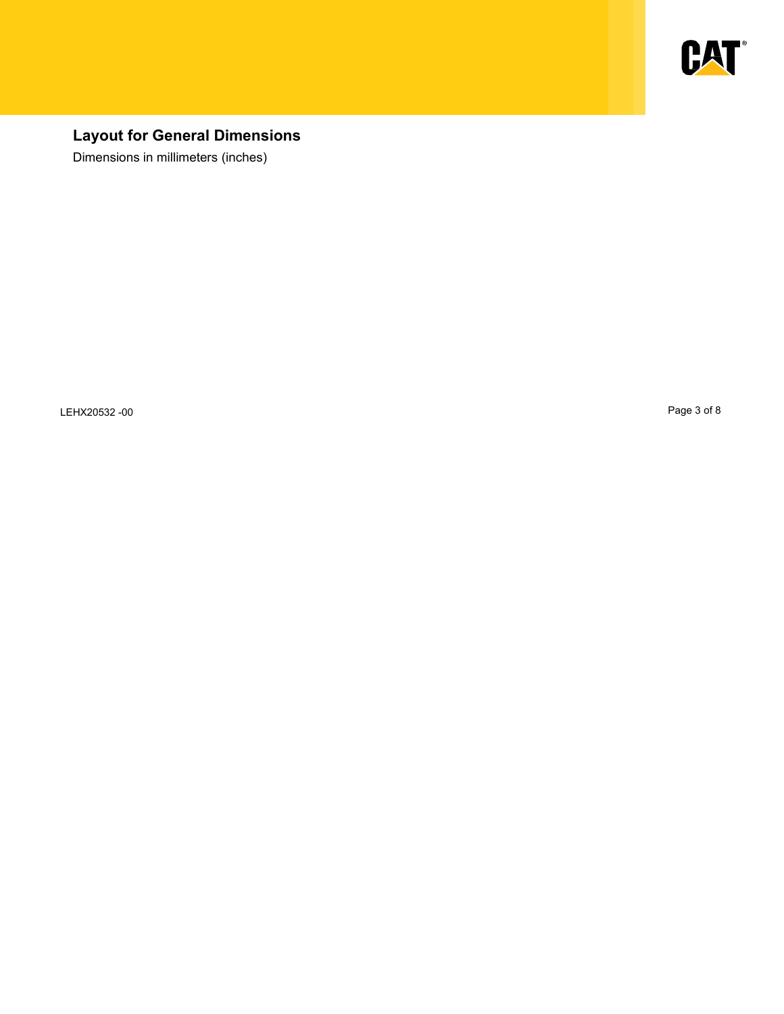

# **Layout for General Dimensions**

Dimensions in millimeters (inches)

LEHX20532 -00 Page 3 of 8